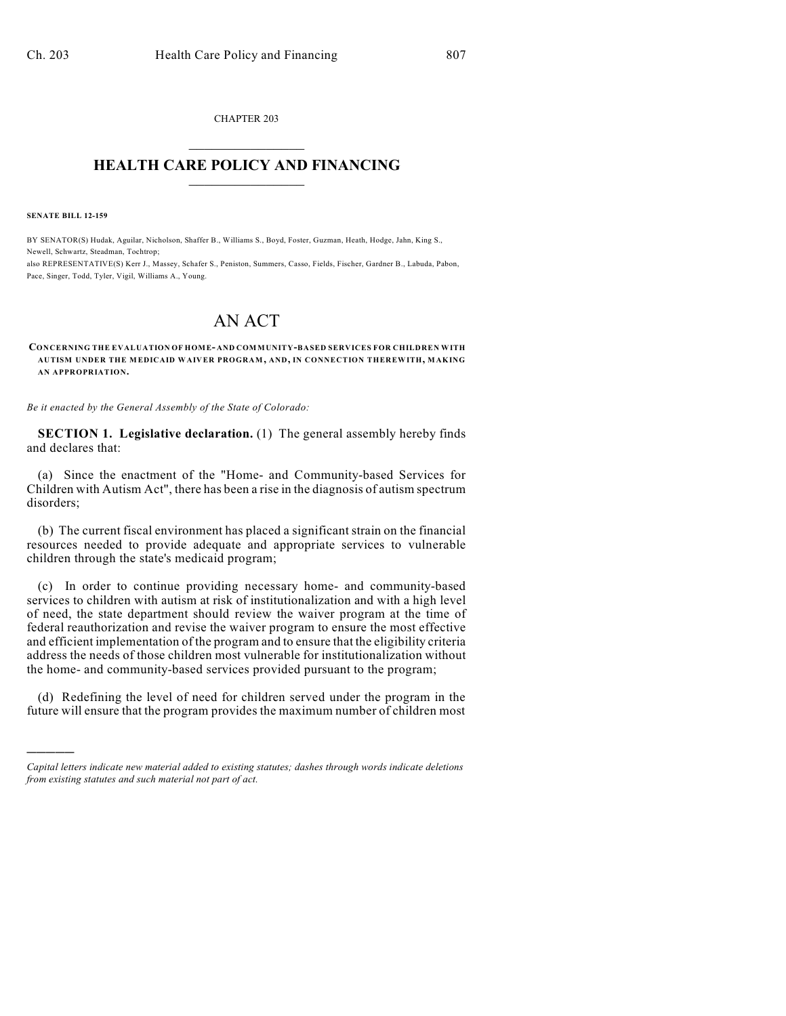CHAPTER 203  $\mathcal{L}_\text{max}$  . The set of the set of the set of the set of the set of the set of the set of the set of the set of the set of the set of the set of the set of the set of the set of the set of the set of the set of the set

## **HEALTH CARE POLICY AND FINANCING**  $\_$   $\_$   $\_$   $\_$   $\_$   $\_$   $\_$   $\_$

**SENATE BILL 12-159**

)))))

BY SENATOR(S) Hudak, Aguilar, Nicholson, Shaffer B., Williams S., Boyd, Foster, Guzman, Heath, Hodge, Jahn, King S., Newell, Schwartz, Steadman, Tochtrop; also REPRESENTATIVE(S) Kerr J., Massey, Schafer S., Peniston, Summers, Casso, Fields, Fischer, Gardner B., Labuda, Pabon,

Pace, Singer, Todd, Tyler, Vigil, Williams A., Young.

## AN ACT

## **CONCERNING THE EVALUATION OF HOME- AND COMMUNITY-BASED SERVICES FOR CHILDREN WITH AUTISM UNDER THE MEDICAID WAIVER PROGRAM, AND, IN CONNECTION THEREWITH, MAKING AN APPROPRIATION.**

*Be it enacted by the General Assembly of the State of Colorado:*

**SECTION 1. Legislative declaration.** (1) The general assembly hereby finds and declares that:

(a) Since the enactment of the "Home- and Community-based Services for Children with Autism Act", there has been a rise in the diagnosis of autism spectrum disorders;

(b) The current fiscal environment has placed a significant strain on the financial resources needed to provide adequate and appropriate services to vulnerable children through the state's medicaid program;

(c) In order to continue providing necessary home- and community-based services to children with autism at risk of institutionalization and with a high level of need, the state department should review the waiver program at the time of federal reauthorization and revise the waiver program to ensure the most effective and efficient implementation of the program and to ensure that the eligibility criteria address the needs of those children most vulnerable for institutionalization without the home- and community-based services provided pursuant to the program;

(d) Redefining the level of need for children served under the program in the future will ensure that the program provides the maximum number of children most

*Capital letters indicate new material added to existing statutes; dashes through words indicate deletions from existing statutes and such material not part of act.*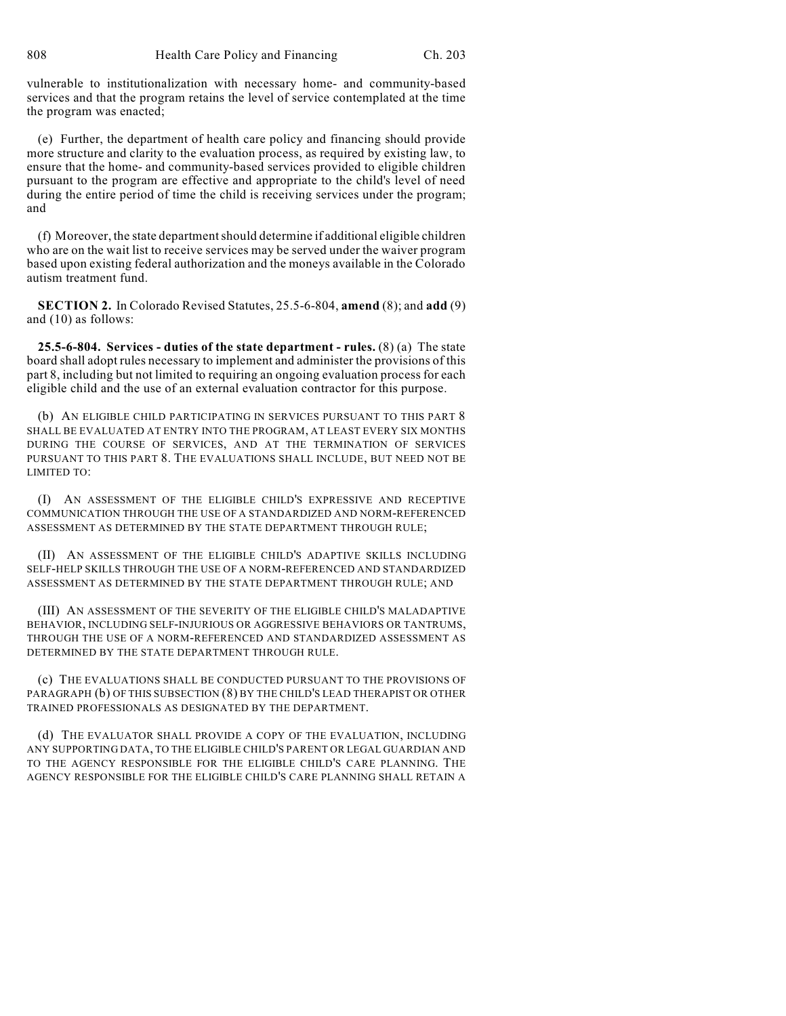vulnerable to institutionalization with necessary home- and community-based services and that the program retains the level of service contemplated at the time the program was enacted;

(e) Further, the department of health care policy and financing should provide more structure and clarity to the evaluation process, as required by existing law, to ensure that the home- and community-based services provided to eligible children pursuant to the program are effective and appropriate to the child's level of need during the entire period of time the child is receiving services under the program; and

(f) Moreover, the state departmentshould determine if additional eligible children who are on the wait list to receive services may be served under the waiver program based upon existing federal authorization and the moneys available in the Colorado autism treatment fund.

**SECTION 2.** In Colorado Revised Statutes, 25.5-6-804, **amend** (8); and **add** (9) and (10) as follows:

**25.5-6-804. Services - duties of the state department - rules.** (8) (a) The state board shall adopt rules necessary to implement and administer the provisions of this part 8, including but not limited to requiring an ongoing evaluation process for each eligible child and the use of an external evaluation contractor for this purpose.

(b) AN ELIGIBLE CHILD PARTICIPATING IN SERVICES PURSUANT TO THIS PART 8 SHALL BE EVALUATED AT ENTRY INTO THE PROGRAM, AT LEAST EVERY SIX MONTHS DURING THE COURSE OF SERVICES, AND AT THE TERMINATION OF SERVICES PURSUANT TO THIS PART 8. THE EVALUATIONS SHALL INCLUDE, BUT NEED NOT BE LIMITED TO:

(I) AN ASSESSMENT OF THE ELIGIBLE CHILD'S EXPRESSIVE AND RECEPTIVE COMMUNICATION THROUGH THE USE OF A STANDARDIZED AND NORM-REFERENCED ASSESSMENT AS DETERMINED BY THE STATE DEPARTMENT THROUGH RULE;

(II) AN ASSESSMENT OF THE ELIGIBLE CHILD'S ADAPTIVE SKILLS INCLUDING SELF-HELP SKILLS THROUGH THE USE OF A NORM-REFERENCED AND STANDARDIZED ASSESSMENT AS DETERMINED BY THE STATE DEPARTMENT THROUGH RULE; AND

(III) AN ASSESSMENT OF THE SEVERITY OF THE ELIGIBLE CHILD'S MALADAPTIVE BEHAVIOR, INCLUDING SELF-INJURIOUS OR AGGRESSIVE BEHAVIORS OR TANTRUMS, THROUGH THE USE OF A NORM-REFERENCED AND STANDARDIZED ASSESSMENT AS DETERMINED BY THE STATE DEPARTMENT THROUGH RULE.

(c) THE EVALUATIONS SHALL BE CONDUCTED PURSUANT TO THE PROVISIONS OF PARAGRAPH (b) OF THIS SUBSECTION (8) BY THE CHILD'S LEAD THERAPIST OR OTHER TRAINED PROFESSIONALS AS DESIGNATED BY THE DEPARTMENT.

(d) THE EVALUATOR SHALL PROVIDE A COPY OF THE EVALUATION, INCLUDING ANY SUPPORTING DATA, TO THE ELIGIBLE CHILD'S PARENT OR LEGAL GUARDIAN AND TO THE AGENCY RESPONSIBLE FOR THE ELIGIBLE CHILD'S CARE PLANNING. THE AGENCY RESPONSIBLE FOR THE ELIGIBLE CHILD'S CARE PLANNING SHALL RETAIN A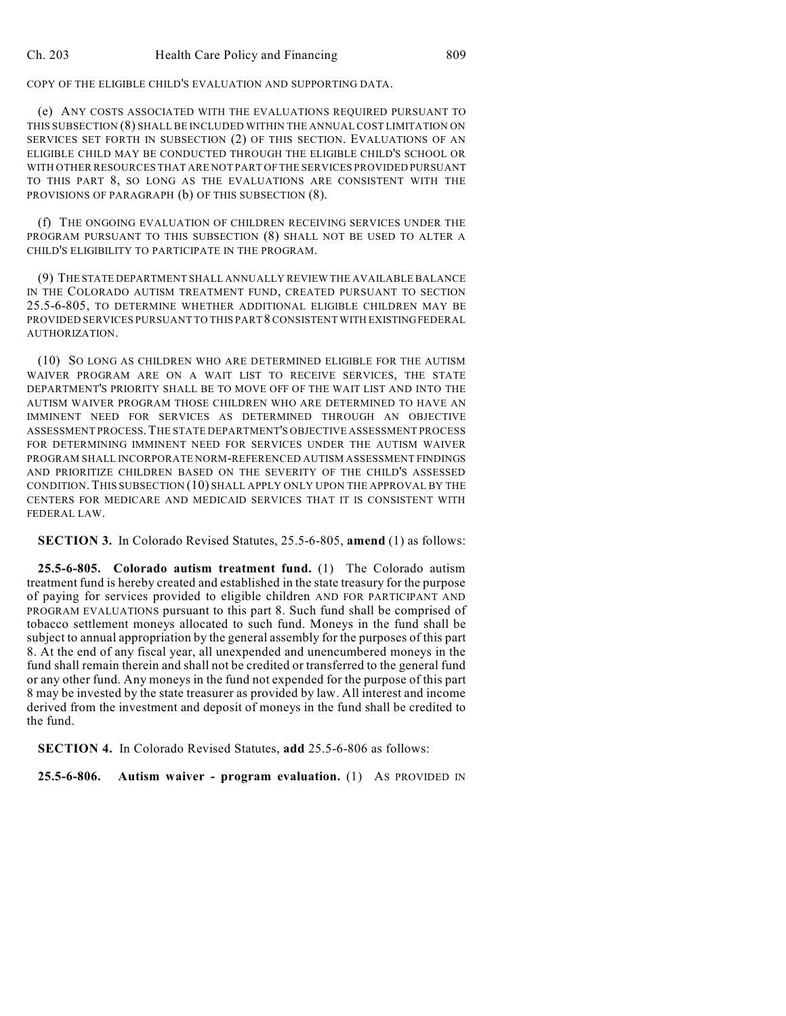COPY OF THE ELIGIBLE CHILD'S EVALUATION AND SUPPORTING DATA.

(e) ANY COSTS ASSOCIATED WITH THE EVALUATIONS REQUIRED PURSUANT TO THIS SUBSECTION (8) SHALL BE INCLUDED WITHIN THE ANNUAL COST LIMITATION ON SERVICES SET FORTH IN SUBSECTION (2) OF THIS SECTION. EVALUATIONS OF AN ELIGIBLE CHILD MAY BE CONDUCTED THROUGH THE ELIGIBLE CHILD'S SCHOOL OR WITH OTHER RESOURCES THAT ARE NOT PART OF THE SERVICES PROVIDED PURSUANT TO THIS PART 8, SO LONG AS THE EVALUATIONS ARE CONSISTENT WITH THE PROVISIONS OF PARAGRAPH (b) OF THIS SUBSECTION (8).

(f) THE ONGOING EVALUATION OF CHILDREN RECEIVING SERVICES UNDER THE PROGRAM PURSUANT TO THIS SUBSECTION (8) SHALL NOT BE USED TO ALTER A CHILD'S ELIGIBILITY TO PARTICIPATE IN THE PROGRAM.

(9) THE STATE DEPARTMENT SHALL ANNUALLY REVIEW THE AVAILABLE BALANCE IN THE COLORADO AUTISM TREATMENT FUND, CREATED PURSUANT TO SECTION 25.5-6-805, TO DETERMINE WHETHER ADDITIONAL ELIGIBLE CHILDREN MAY BE PROVIDED SERVICES PURSUANT TO THIS PART 8 CONSISTENT WITH EXISTINGFEDERAL AUTHORIZATION.

(10) SO LONG AS CHILDREN WHO ARE DETERMINED ELIGIBLE FOR THE AUTISM WAIVER PROGRAM ARE ON A WAIT LIST TO RECEIVE SERVICES, THE STATE DEPARTMENT'S PRIORITY SHALL BE TO MOVE OFF OF THE WAIT LIST AND INTO THE AUTISM WAIVER PROGRAM THOSE CHILDREN WHO ARE DETERMINED TO HAVE AN IMMINENT NEED FOR SERVICES AS DETERMINED THROUGH AN OBJECTIVE ASSESSMENT PROCESS.THE STATE DEPARTMENT'S OBJECTIVE ASSESSMENT PROCESS FOR DETERMINING IMMINENT NEED FOR SERVICES UNDER THE AUTISM WAIVER PROGRAM SHALL INCORPORATE NORM-REFERENCED AUTISM ASSESSMENT FINDINGS AND PRIORITIZE CHILDREN BASED ON THE SEVERITY OF THE CHILD'S ASSESSED CONDITION.THIS SUBSECTION (10) SHALL APPLY ONLY UPON THE APPROVAL BY THE CENTERS FOR MEDICARE AND MEDICAID SERVICES THAT IT IS CONSISTENT WITH FEDERAL LAW.

**SECTION 3.** In Colorado Revised Statutes, 25.5-6-805, **amend** (1) as follows:

**25.5-6-805. Colorado autism treatment fund.** (1) The Colorado autism treatment fund is hereby created and established in the state treasury for the purpose of paying for services provided to eligible children AND FOR PARTICIPANT AND PROGRAM EVALUATIONS pursuant to this part 8. Such fund shall be comprised of tobacco settlement moneys allocated to such fund. Moneys in the fund shall be subject to annual appropriation by the general assembly for the purposes of this part 8. At the end of any fiscal year, all unexpended and unencumbered moneys in the fund shall remain therein and shall not be credited or transferred to the general fund or any other fund. Any moneys in the fund not expended for the purpose of this part 8 may be invested by the state treasurer as provided by law. All interest and income derived from the investment and deposit of moneys in the fund shall be credited to the fund.

**SECTION 4.** In Colorado Revised Statutes, **add** 25.5-6-806 as follows:

**25.5-6-806. Autism waiver - program evaluation.** (1) AS PROVIDED IN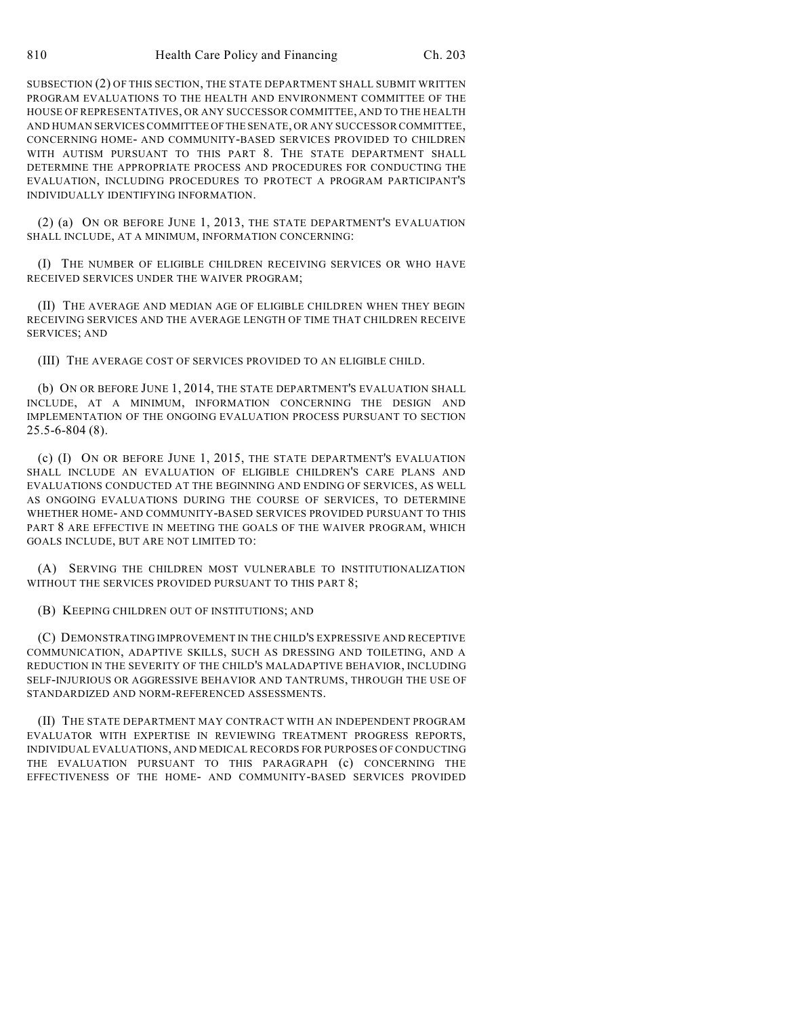SUBSECTION (2) OF THIS SECTION, THE STATE DEPARTMENT SHALL SUBMIT WRITTEN PROGRAM EVALUATIONS TO THE HEALTH AND ENVIRONMENT COMMITTEE OF THE HOUSE OF REPRESENTATIVES, OR ANY SUCCESSOR COMMITTEE, AND TO THE HEALTH AND HUMAN SERVICES COMMITTEE OFTHE SENATE, OR ANY SUCCESSOR COMMITTEE, CONCERNING HOME- AND COMMUNITY-BASED SERVICES PROVIDED TO CHILDREN WITH AUTISM PURSUANT TO THIS PART 8. THE STATE DEPARTMENT SHALL DETERMINE THE APPROPRIATE PROCESS AND PROCEDURES FOR CONDUCTING THE EVALUATION, INCLUDING PROCEDURES TO PROTECT A PROGRAM PARTICIPANT'S INDIVIDUALLY IDENTIFYING INFORMATION.

(2) (a) ON OR BEFORE JUNE 1, 2013, THE STATE DEPARTMENT'S EVALUATION SHALL INCLUDE, AT A MINIMUM, INFORMATION CONCERNING:

(I) THE NUMBER OF ELIGIBLE CHILDREN RECEIVING SERVICES OR WHO HAVE RECEIVED SERVICES UNDER THE WAIVER PROGRAM;

(II) THE AVERAGE AND MEDIAN AGE OF ELIGIBLE CHILDREN WHEN THEY BEGIN RECEIVING SERVICES AND THE AVERAGE LENGTH OF TIME THAT CHILDREN RECEIVE SERVICES; AND

(III) THE AVERAGE COST OF SERVICES PROVIDED TO AN ELIGIBLE CHILD.

(b) ON OR BEFORE JUNE 1, 2014, THE STATE DEPARTMENT'S EVALUATION SHALL INCLUDE, AT A MINIMUM, INFORMATION CONCERNING THE DESIGN AND IMPLEMENTATION OF THE ONGOING EVALUATION PROCESS PURSUANT TO SECTION 25.5-6-804 (8).

(c) (I) ON OR BEFORE JUNE 1, 2015, THE STATE DEPARTMENT'S EVALUATION SHALL INCLUDE AN EVALUATION OF ELIGIBLE CHILDREN'S CARE PLANS AND EVALUATIONS CONDUCTED AT THE BEGINNING AND ENDING OF SERVICES, AS WELL AS ONGOING EVALUATIONS DURING THE COURSE OF SERVICES, TO DETERMINE WHETHER HOME- AND COMMUNITY-BASED SERVICES PROVIDED PURSUANT TO THIS PART 8 ARE EFFECTIVE IN MEETING THE GOALS OF THE WAIVER PROGRAM, WHICH GOALS INCLUDE, BUT ARE NOT LIMITED TO:

(A) SERVING THE CHILDREN MOST VULNERABLE TO INSTITUTIONALIZATION WITHOUT THE SERVICES PROVIDED PURSUANT TO THIS PART 8:

(B) KEEPING CHILDREN OUT OF INSTITUTIONS; AND

(C) DEMONSTRATING IMPROVEMENT IN THE CHILD'S EXPRESSIVE AND RECEPTIVE COMMUNICATION, ADAPTIVE SKILLS, SUCH AS DRESSING AND TOILETING, AND A REDUCTION IN THE SEVERITY OF THE CHILD'S MALADAPTIVE BEHAVIOR, INCLUDING SELF-INJURIOUS OR AGGRESSIVE BEHAVIOR AND TANTRUMS, THROUGH THE USE OF STANDARDIZED AND NORM-REFERENCED ASSESSMENTS.

(II) THE STATE DEPARTMENT MAY CONTRACT WITH AN INDEPENDENT PROGRAM EVALUATOR WITH EXPERTISE IN REVIEWING TREATMENT PROGRESS REPORTS, INDIVIDUAL EVALUATIONS, AND MEDICAL RECORDS FOR PURPOSES OF CONDUCTING THE EVALUATION PURSUANT TO THIS PARAGRAPH (c) CONCERNING THE EFFECTIVENESS OF THE HOME- AND COMMUNITY-BASED SERVICES PROVIDED